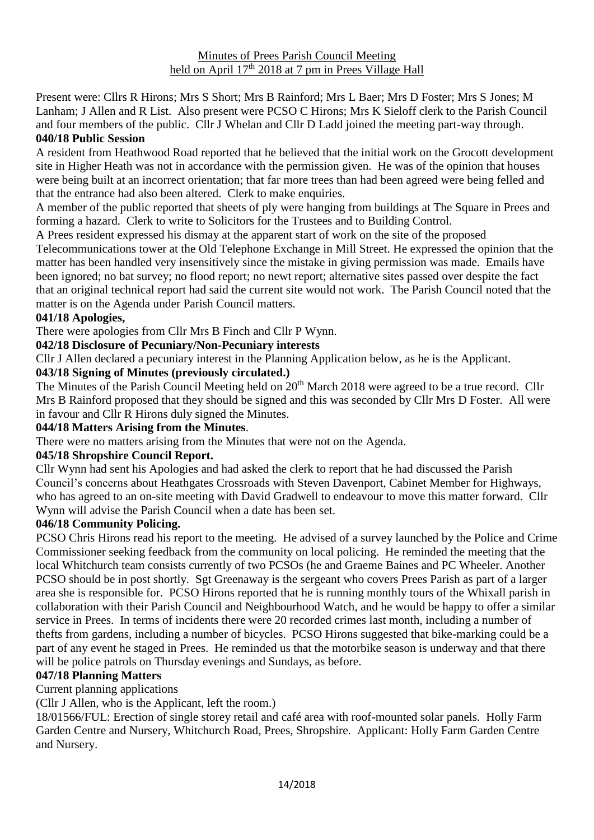Present were: Cllrs R Hirons; Mrs S Short; Mrs B Rainford; Mrs L Baer; Mrs D Foster; Mrs S Jones; M Lanham; J Allen and R List. Also present were PCSO C Hirons; Mrs K Sieloff clerk to the Parish Council and four members of the public. Cllr J Whelan and Cllr D Ladd joined the meeting part-way through. **040/18 Public Session**

A resident from Heathwood Road reported that he believed that the initial work on the Grocott development site in Higher Heath was not in accordance with the permission given. He was of the opinion that houses were being built at an incorrect orientation; that far more trees than had been agreed were being felled and that the entrance had also been altered. Clerk to make enquiries.

A member of the public reported that sheets of ply were hanging from buildings at The Square in Prees and forming a hazard. Clerk to write to Solicitors for the Trustees and to Building Control.

A Prees resident expressed his dismay at the apparent start of work on the site of the proposed

Telecommunications tower at the Old Telephone Exchange in Mill Street. He expressed the opinion that the matter has been handled very insensitively since the mistake in giving permission was made. Emails have been ignored; no bat survey; no flood report; no newt report; alternative sites passed over despite the fact that an original technical report had said the current site would not work. The Parish Council noted that the matter is on the Agenda under Parish Council matters.

#### **041/18 Apologies,**

There were apologies from Cllr Mrs B Finch and Cllr P Wynn.

## **042/18 Disclosure of Pecuniary/Non-Pecuniary interests**

Cllr J Allen declared a pecuniary interest in the Planning Application below, as he is the Applicant.

## **043/18 Signing of Minutes (previously circulated.)**

The Minutes of the Parish Council Meeting held on 20<sup>th</sup> March 2018 were agreed to be a true record. Cllr Mrs B Rainford proposed that they should be signed and this was seconded by Cllr Mrs D Foster. All were in favour and Cllr R Hirons duly signed the Minutes.

#### **044/18 Matters Arising from the Minutes**.

There were no matters arising from the Minutes that were not on the Agenda.

#### **045/18 Shropshire Council Report.**

Cllr Wynn had sent his Apologies and had asked the clerk to report that he had discussed the Parish Council's concerns about Heathgates Crossroads with Steven Davenport, Cabinet Member for Highways, who has agreed to an on-site meeting with David Gradwell to endeavour to move this matter forward. Cllr Wynn will advise the Parish Council when a date has been set.

#### **046/18 Community Policing.**

PCSO Chris Hirons read his report to the meeting. He advised of a survey launched by the Police and Crime Commissioner seeking feedback from the community on local policing. He reminded the meeting that the local Whitchurch team consists currently of two PCSOs (he and Graeme Baines and PC Wheeler. Another PCSO should be in post shortly. Sgt Greenaway is the sergeant who covers Prees Parish as part of a larger area she is responsible for. PCSO Hirons reported that he is running monthly tours of the Whixall parish in collaboration with their Parish Council and Neighbourhood Watch, and he would be happy to offer a similar service in Prees. In terms of incidents there were 20 recorded crimes last month, including a number of thefts from gardens, including a number of bicycles. PCSO Hirons suggested that bike-marking could be a part of any event he staged in Prees. He reminded us that the motorbike season is underway and that there will be police patrols on Thursday evenings and Sundays, as before.

#### **047/18 Planning Matters**

Current planning applications

(Cllr J Allen, who is the Applicant, left the room.)

18/01566/FUL: Erection of single storey retail and café area with roof-mounted solar panels. Holly Farm Garden Centre and Nursery, Whitchurch Road, Prees, Shropshire. Applicant: Holly Farm Garden Centre and Nursery.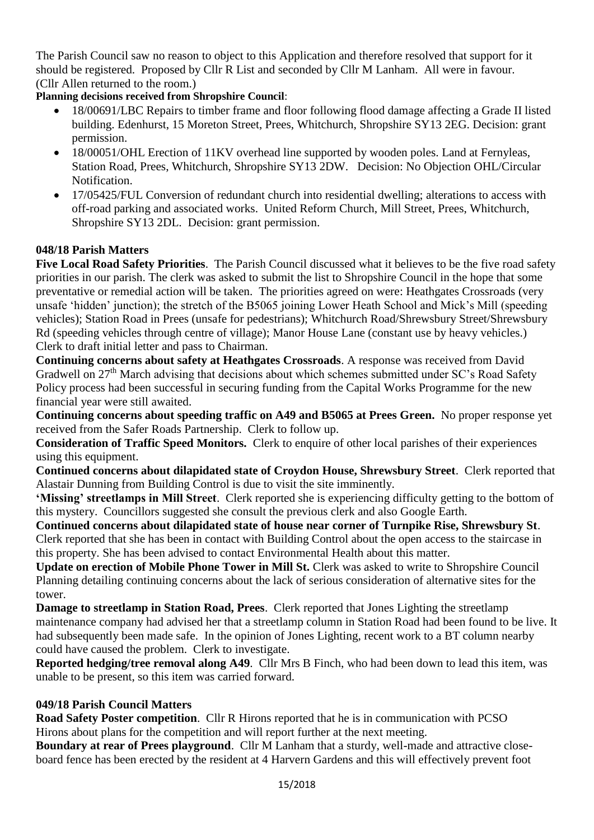The Parish Council saw no reason to object to this Application and therefore resolved that support for it should be registered. Proposed by Cllr R List and seconded by Cllr M Lanham. All were in favour. (Cllr Allen returned to the room.)

# **Planning decisions received from Shropshire Council**:

- 18/00691/LBC Repairs to timber frame and floor following flood damage affecting a Grade II listed building. Edenhurst, 15 Moreton Street, Prees, Whitchurch, Shropshire SY13 2EG. Decision: grant permission.
- 18/00051/OHL Erection of 11KV overhead line supported by wooden poles. Land at Fernyleas, Station Road, Prees, Whitchurch, Shropshire SY13 2DW. Decision: No Objection OHL/Circular Notification.
- 17/05425/FUL Conversion of redundant church into residential dwelling; alterations to access with off-road parking and associated works. United Reform Church, Mill Street, Prees, Whitchurch, Shropshire SY13 2DL. Decision: grant permission.

# **048/18 Parish Matters**

**Five Local Road Safety Priorities**. The Parish Council discussed what it believes to be the five road safety priorities in our parish. The clerk was asked to submit the list to Shropshire Council in the hope that some preventative or remedial action will be taken. The priorities agreed on were: Heathgates Crossroads (very unsafe 'hidden' junction); the stretch of the B5065 joining Lower Heath School and Mick's Mill (speeding vehicles); Station Road in Prees (unsafe for pedestrians); Whitchurch Road/Shrewsbury Street/Shrewsbury Rd (speeding vehicles through centre of village); Manor House Lane (constant use by heavy vehicles.) Clerk to draft initial letter and pass to Chairman.

**Continuing concerns about safety at Heathgates Crossroads**. A response was received from David Gradwell on 27<sup>th</sup> March advising that decisions about which schemes submitted under SC's Road Safety Policy process had been successful in securing funding from the Capital Works Programme for the new financial year were still awaited.

**Continuing concerns about speeding traffic on A49 and B5065 at Prees Green.** No proper response yet received from the Safer Roads Partnership. Clerk to follow up.

**Consideration of Traffic Speed Monitors.** Clerk to enquire of other local parishes of their experiences using this equipment.

**Continued concerns about dilapidated state of Croydon House, Shrewsbury Street**. Clerk reported that Alastair Dunning from Building Control is due to visit the site imminently.

**'Missing' streetlamps in Mill Street**. Clerk reported she is experiencing difficulty getting to the bottom of this mystery. Councillors suggested she consult the previous clerk and also Google Earth.

**Continued concerns about dilapidated state of house near corner of Turnpike Rise, Shrewsbury St**. Clerk reported that she has been in contact with Building Control about the open access to the staircase in this property. She has been advised to contact Environmental Health about this matter.

**Update on erection of Mobile Phone Tower in Mill St.** Clerk was asked to write to Shropshire Council Planning detailing continuing concerns about the lack of serious consideration of alternative sites for the tower.

**Damage to streetlamp in Station Road, Prees**. Clerk reported that Jones Lighting the streetlamp maintenance company had advised her that a streetlamp column in Station Road had been found to be live. It had subsequently been made safe. In the opinion of Jones Lighting, recent work to a BT column nearby could have caused the problem. Clerk to investigate.

**Reported hedging/tree removal along A49**. Cllr Mrs B Finch, who had been down to lead this item, was unable to be present, so this item was carried forward.

# **049/18 Parish Council Matters**

**Road Safety Poster competition**. Cllr R Hirons reported that he is in communication with PCSO Hirons about plans for the competition and will report further at the next meeting.

**Boundary at rear of Prees playground**. Cllr M Lanham that a sturdy, well-made and attractive closeboard fence has been erected by the resident at 4 Harvern Gardens and this will effectively prevent foot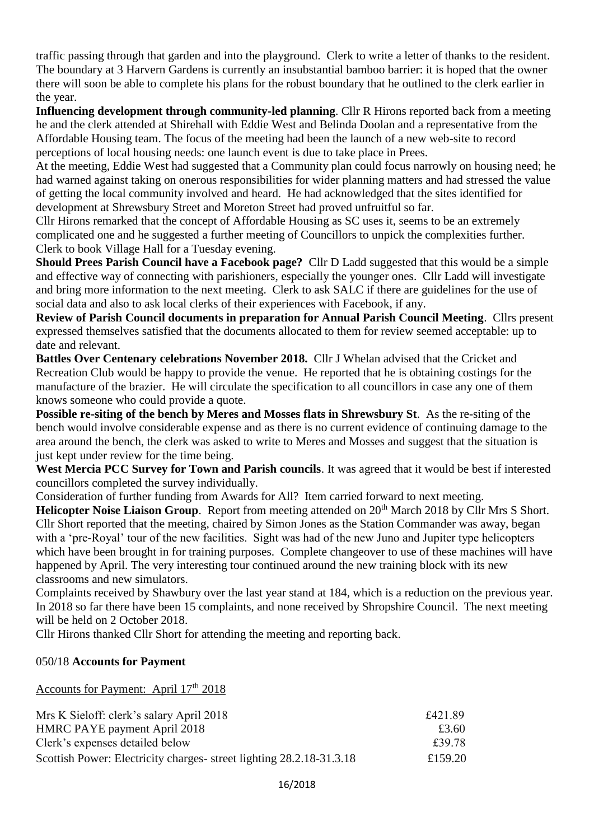traffic passing through that garden and into the playground. Clerk to write a letter of thanks to the resident. The boundary at 3 Harvern Gardens is currently an insubstantial bamboo barrier: it is hoped that the owner there will soon be able to complete his plans for the robust boundary that he outlined to the clerk earlier in the year.

**Influencing development through community-led planning**. Cllr R Hirons reported back from a meeting he and the clerk attended at Shirehall with Eddie West and Belinda Doolan and a representative from the Affordable Housing team. The focus of the meeting had been the launch of a new web-site to record perceptions of local housing needs: one launch event is due to take place in Prees.

At the meeting, Eddie West had suggested that a Community plan could focus narrowly on housing need; he had warned against taking on onerous responsibilities for wider planning matters and had stressed the value of getting the local community involved and heard. He had acknowledged that the sites identified for development at Shrewsbury Street and Moreton Street had proved unfruitful so far.

Cllr Hirons remarked that the concept of Affordable Housing as SC uses it, seems to be an extremely complicated one and he suggested a further meeting of Councillors to unpick the complexities further. Clerk to book Village Hall for a Tuesday evening.

**Should Prees Parish Council have a Facebook page?** Cllr D Ladd suggested that this would be a simple and effective way of connecting with parishioners, especially the younger ones. Cllr Ladd will investigate and bring more information to the next meeting. Clerk to ask SALC if there are guidelines for the use of social data and also to ask local clerks of their experiences with Facebook, if any.

**Review of Parish Council documents in preparation for Annual Parish Council Meeting**. Cllrs present expressed themselves satisfied that the documents allocated to them for review seemed acceptable: up to date and relevant.

**Battles Over Centenary celebrations November 2018.** Cllr J Whelan advised that the Cricket and Recreation Club would be happy to provide the venue. He reported that he is obtaining costings for the manufacture of the brazier. He will circulate the specification to all councillors in case any one of them knows someone who could provide a quote.

**Possible re-siting of the bench by Meres and Mosses flats in Shrewsbury St**. As the re-siting of the bench would involve considerable expense and as there is no current evidence of continuing damage to the area around the bench, the clerk was asked to write to Meres and Mosses and suggest that the situation is just kept under review for the time being.

**West Mercia PCC Survey for Town and Parish councils**. It was agreed that it would be best if interested councillors completed the survey individually.

Consideration of further funding from Awards for All? Item carried forward to next meeting.

**Helicopter Noise Liaison Group.** Report from meeting attended on 20<sup>th</sup> March 2018 by Cllr Mrs S Short. Cllr Short reported that the meeting, chaired by Simon Jones as the Station Commander was away, began with a 'pre-Royal' tour of the new facilities. Sight was had of the new Juno and Jupiter type helicopters which have been brought in for training purposes. Complete changeover to use of these machines will have happened by April. The very interesting tour continued around the new training block with its new classrooms and new simulators.

Complaints received by Shawbury over the last year stand at 184, which is a reduction on the previous year. In 2018 so far there have been 15 complaints, and none received by Shropshire Council. The next meeting will be held on 2 October 2018.

Cllr Hirons thanked Cllr Short for attending the meeting and reporting back.

#### 050/18 **Accounts for Payment**

Accounts for Payment: April 17<sup>th</sup> 2018

| Mrs K Sieloff: clerk's salary April 2018                             | £421.89 |
|----------------------------------------------------------------------|---------|
| HMRC PAYE payment April 2018                                         | £3.60   |
| Clerk's expenses detailed below                                      | £39.78  |
| Scottish Power: Electricity charges- street lighting 28.2.18-31.3.18 | £159.20 |